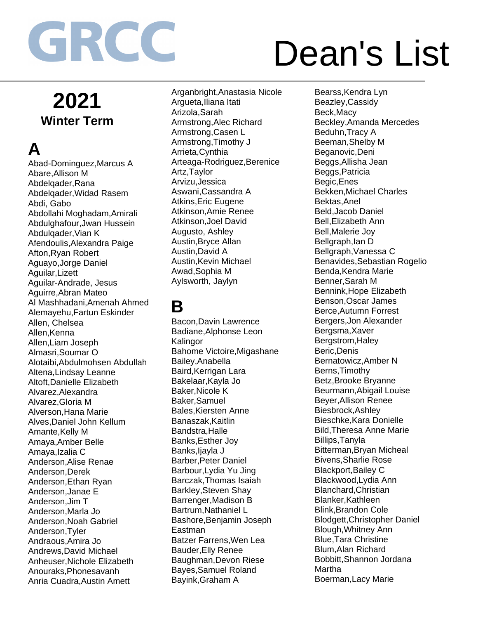## Dean's List

### **2021 Winter Term**

### **A**

Abad-Dominguez,Marcus A Abare,Allison M Abdelqader,Rana Abdelqader,Widad Rasem Abdi, Gabo Abdollahi Moghadam,Amirali Abdulghafour,Jwan Hussein Abdulqader,Vian K Afendoulis,Alexandra Paige Afton,Ryan Robert Aguayo,Jorge Daniel Aguilar,Lizett Aguilar-Andrade, Jesus Aguirre,Abran Mateo Al Mashhadani,Amenah Ahmed Alemayehu,Fartun Eskinder Allen, Chelsea Allen, Kenna Allen,Liam Joseph Almasri,Soumar O Alotaibi,Abdulmohsen Abdullah Altena,Lindsay Leanne Altoft,Danielle Elizabeth Alvarez,Alexandra Alvarez,Gloria M Alverson,Hana Marie Alves,Daniel John Kellum Amante,Kelly M Amaya,Amber Belle Amaya,Izalia C Anderson,Alise Renae Anderson,Derek Anderson,Ethan Ryan Anderson,Janae E Anderson,Jim T Anderson,Marla Jo Anderson,Noah Gabriel Anderson,Tyler Andraous,Amira Jo Andrews,David Michael Anheuser,Nichole Elizabeth Anouraks,Phonesavanh Anria Cuadra,Austin Amett

Arganbright,Anastasia Nicole Argueta,Iliana Itati Arizola,Sarah Armstrong,Alec Richard Armstrong,Casen L Armstrong,Timothy J Arrieta,Cynthia Arteaga-Rodriguez,Berenice Artz,Taylor Arvizu,Jessica Aswani,Cassandra A Atkins,Eric Eugene Atkinson,Amie Renee Atkinson,Joel David Augusto, Ashley Austin,Bryce Allan Austin,David A Austin,Kevin Michael Awad,Sophia M Aylsworth, Jaylyn

**B**

Bacon,Davin Lawrence Badiane,Alphonse Leon Kalingor Bahome Victoire,Migashane Bailey,Anabella Baird.Kerrigan Lara Bakelaar,Kayla Jo Baker,Nicole K Baker,Samuel Bales,Kiersten Anne Banaszak,Kaitlin Bandstra,Halle Banks,Esther Joy Banks,Ijayla J Barber,Peter Daniel Barbour,Lydia Yu Jing Barczak,Thomas Isaiah Barkley,Steven Shay Barrenger,Madison B Bartrum,Nathaniel L Bashore,Benjamin Joseph Eastman Batzer Farrens,Wen Lea Bauder,Elly Renee Baughman,Devon Riese Bayes,Samuel Roland Bayink,Graham A

Bearss,Kendra Lyn Beazley,Cassidy Beck,Macy Beckley,Amanda Mercedes Beduhn,Tracy A Beeman,Shelby M Beganovic,Deni Beggs,Allisha Jean Beggs,Patricia Begic,Enes Bekken,Michael Charles Bektas,Anel Beld,Jacob Daniel Bell,Elizabeth Ann Bell,Malerie Joy Bellgraph,Ian D Bellgraph,Vanessa C Benavides,Sebastian Rogelio Benda,Kendra Marie Benner,Sarah M Bennink,Hope Elizabeth Benson,Oscar James Berce,Autumn Forrest Bergers,Jon Alexander Bergsma,Xaver Bergstrom,Haley Beric,Denis Bernatowicz,Amber N Berns,Timothy Betz,Brooke Bryanne Beurmann,Abigail Louise Beyer,Allison Renee Biesbrock,Ashley Bieschke,Kara Donielle Bild,Theresa Anne Marie Billips,Tanyla Bitterman,Bryan Micheal Bivens,Sharlie Rose Blackport,Bailey C Blackwood,Lydia Ann Blanchard,Christian Blanker,Kathleen Blink,Brandon Cole Blodgett,Christopher Daniel Blough,Whitney Ann Blue,Tara Christine Blum,Alan Richard Bobbitt,Shannon Jordana Martha Boerman,Lacy Marie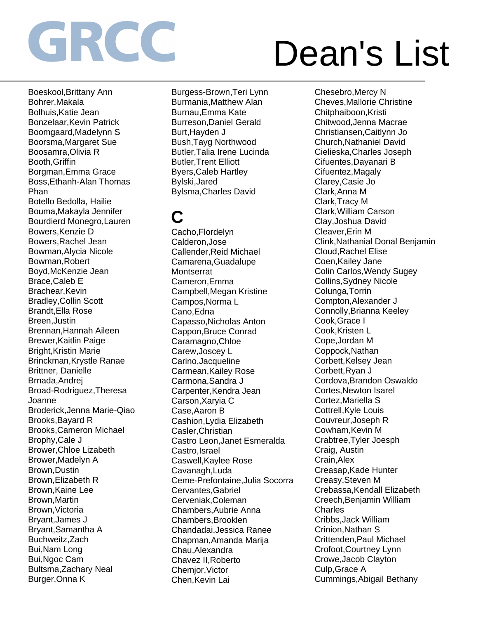## Dean's List

Boeskool,Brittany Ann Bohrer,Makala Bolhuis,Katie Jean Bonzelaar,Kevin Patrick Boomgaard,Madelynn S Boorsma,Margaret Sue Boosamra,Olivia R Booth,Griffin Borgman,Emma Grace Boss,Ethanh-Alan Thomas Phan Botello Bedolla, Hailie Bouma,Makayla Jennifer Bourdierd Monegro,Lauren Bowers,Kenzie D Bowers,Rachel Jean Bowman,Alycia Nicole Bowman,Robert Boyd,McKenzie Jean Brace,Caleb E Brachear,Kevin Bradley,Collin Scott Brandt,Ella Rose Breen,Justin Brennan,Hannah Aileen Brewer,Kaitlin Paige Bright,Kristin Marie Brinckman,Krystle Ranae Brittner, Danielle Brnada,Andrej Broad-Rodriguez,Theresa Joanne Broderick,Jenna Marie-Qiao Brooks,Bayard R Brooks,Cameron Michael Brophy,Cale J Brower,Chloe Lizabeth Brower,Madelyn A Brown,Dustin Brown,Elizabeth R Brown,Kaine Lee Brown,Martin Brown,Victoria Bryant,James J Bryant,Samantha A Buchweitz,Zach Bui,Nam Long Bui,Ngoc Cam Bultsma,Zachary Neal Burger,Onna K

Burgess-Brown,Teri Lynn Burmania,Matthew Alan Burnau,Emma Kate Burreson,Daniel Gerald Burt,Hayden J Bush,Tayg Northwood Butler,Talia Irene Lucinda Butler,Trent Elliott Byers,Caleb Hartley Bylski,Jared Bylsma,Charles David

#### **C**

Cacho,Flordelyn Calderon,Jose Callender,Reid Michael Camarena,Guadalupe **Montserrat** Cameron,Emma Campbell,Megan Kristine Campos,Norma L Cano,Edna Capasso,Nicholas Anton Cappon,Bruce Conrad Caramagno,Chloe Carew,Joscey L Carino,Jacqueline Carmean,Kailey Rose Carmona,Sandra J Carpenter,Kendra Jean Carson,Xaryia C Case,Aaron B Cashion,Lydia Elizabeth Casler,Christian Castro Leon,Janet Esmeralda Castro,Israel Caswell,Kaylee Rose Cavanagh,Luda Ceme-Prefontaine,Julia Socorra Cervantes,Gabriel Cerveniak,Coleman Chambers,Aubrie Anna Chambers,Brooklen Chandadai,Jessica Ranee Chapman,Amanda Marija Chau,Alexandra Chavez II,Roberto Chemjor,Victor Chen,Kevin Lai

Chesebro,Mercy N Cheves,Mallorie Christine Chitphaiboon,Kristi Chitwood,Jenna Macrae Christiansen,Caitlynn Jo Church,Nathaniel David Cielieska,Charles Joseph Cifuentes,Dayanari B Cifuentez,Magaly Clarey,Casie Jo Clark,Anna M Clark,Tracy M Clark,William Carson Clay,Joshua David Cleaver,Erin M Clink,Nathanial Donal Benjamin Cloud,Rachel Elise Coen,Kailey Jane Colin Carlos,Wendy Sugey Collins,Sydney Nicole Colunga,Torrin Compton,Alexander J Connolly,Brianna Keeley Cook,Grace I Cook,Kristen L Cope,Jordan M Coppock,Nathan Corbett,Kelsey Jean Corbett,Ryan J Cordova,Brandon Oswaldo Cortes,Newton Isarel Cortez,Mariella S Cottrell,Kyle Louis Couvreur,Joseph R Cowham,Kevin M Crabtree,Tyler Joesph Craig, Austin Crain,Alex Creasap,Kade Hunter Creasy,Steven M Crebassa,Kendall Elizabeth Creech,Benjamin William Charles Cribbs,Jack William Crinion,Nathan S Crittenden,Paul Michael Crofoot,Courtney Lynn Crowe,Jacob Clayton Culp,Grace A Cummings,Abigail Bethany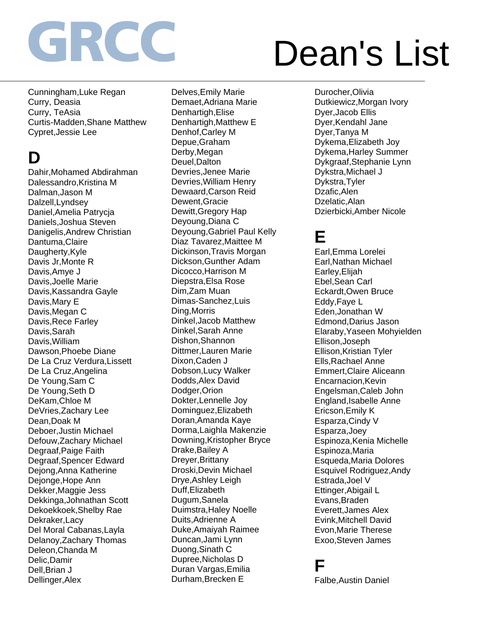## Dean's List

Cunningham,Luke Regan Curry, Deasia Curry, TeAsia Curtis-Madden,Shane Matthew Cypret,Jessie Lee

#### **D**

Dahir,Mohamed Abdirahman Dalessandro,Kristina M Dalman,Jason M Dalzell,Lyndsey Daniel,Amelia Patrycja Daniels,Joshua Steven Danigelis,Andrew Christian Dantuma,Claire Daugherty,Kyle Davis Jr,Monte R Davis,Amye J Davis,Joelle Marie Davis,Kassandra Gayle Davis,Mary E Davis,Megan C Davis,Rece Farley Davis,Sarah Davis,William Dawson,Phoebe Diane De La Cruz Verdura,Lissett De La Cruz,Angelina De Young,Sam C De Young,Seth D DeKam,Chloe M DeVries,Zachary Lee Dean,Doak M Deboer,Justin Michael Defouw,Zachary Michael Degraaf,Paige Faith Degraaf,Spencer Edward Dejong,Anna Katherine Dejonge,Hope Ann Dekker,Maggie Jess Dekkinga,Johnathan Scott Dekoekkoek,Shelby Rae Dekraker,Lacy Del Moral Cabanas,Layla Delanoy,Zachary Thomas Deleon,Chanda M Delic,Damir Dell,Brian J Dellinger,Alex

Delves,Emily Marie Demaet,Adriana Marie Denhartigh,Elise Denhartigh,Matthew E Denhof,Carley M Depue,Graham Derby,Megan Deuel,Dalton Devries,Jenee Marie Devries,William Henry Dewaard,Carson Reid Dewent,Gracie Dewitt,Gregory Hap Deyoung,Diana C Deyoung,Gabriel Paul Kelly Diaz Tavarez,Maittee M Dickinson,Travis Morgan Dickson,Gunther Adam Dicocco,Harrison M Diepstra,Elsa Rose Dim,Zam Muan Dimas-Sanchez,Luis Ding,Morris Dinkel,Jacob Matthew Dinkel,Sarah Anne Dishon,Shannon Dittmer,Lauren Marie Dixon,Caden J Dobson,Lucy Walker Dodds,Alex David Dodger,Orion Dokter,Lennelle Joy Dominguez,Elizabeth Doran,Amanda Kaye Dorma,Laighla Makenzie Downing,Kristopher Bryce Drake,Bailey A Dreyer,Brittany Droski,Devin Michael Drye,Ashley Leigh Duff,Elizabeth Dugum,Sanela Duimstra,Haley Noelle Duits,Adrienne A Duke,Amaiyah Raimee Duncan,Jami Lynn Duong,Sinath C Dupree,Nicholas D Duran Vargas,Emilia Durham,Brecken E

Durocher,Olivia Dutkiewicz,Morgan Ivory Dyer,Jacob Ellis Dyer,Kendahl Jane Dyer,Tanya M Dykema,Elizabeth Joy Dykema,Harley Summer Dykgraaf,Stephanie Lynn Dykstra,Michael J Dykstra,Tyler Dzafic,Alen Dzelatic,Alan Dzierbicki,Amber Nicole

#### **E**

Earl,Emma Lorelei Earl,Nathan Michael Earley,Elijah Ebel,Sean Carl Eckardt,Owen Bruce Eddy,Faye L Eden,Jonathan W Edmond,Darius Jason Elaraby,Yaseen Mohyielden Ellison,Joseph Ellison,Kristian Tyler Ells,Rachael Anne Emmert,Claire Aliceann Encarnacion,Kevin Engelsman,Caleb John England,Isabelle Anne Ericson,Emily K Esparza,Cindy V Esparza,Joey Espinoza,Kenia Michelle Espinoza,Maria Esqueda,Maria Dolores Esquivel Rodriguez,Andy Estrada,Joel V Ettinger,Abigail L Evans,Braden Everett,James Alex Evink,Mitchell David Evon,Marie Therese Exoo,Steven James

#### **F**

Falbe,Austin Daniel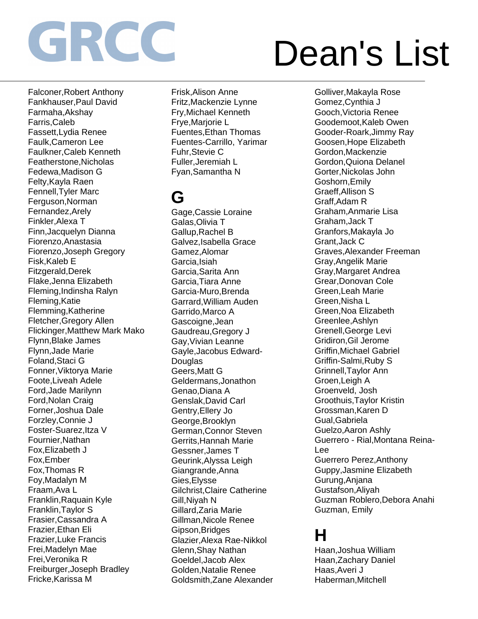## Dean's List

Falconer,Robert Anthony Fankhauser,Paul David Farmaha,Akshay Farris,Caleb Fassett,Lydia Renee Faulk,Cameron Lee Faulkner,Caleb Kenneth Featherstone,Nicholas Fedewa,Madison G Felty,Kayla Raen Fennell,Tyler Marc Ferguson,Norman Fernandez,Arely Finkler,Alexa T Finn,Jacquelyn Dianna Fiorenzo,Anastasia Fiorenzo,Joseph Gregory Fisk,Kaleb E Fitzgerald,Derek Flake,Jenna Elizabeth Fleming,Indinsha Ralyn Fleming,Katie Flemming,Katherine Fletcher,Gregory Allen Flickinger,Matthew Mark Mako Flynn,Blake James Flynn,Jade Marie Foland,Staci G Fonner,Viktorya Marie Foote,Liveah Adele Ford,Jade Marilynn Ford,Nolan Craig Forner,Joshua Dale Forzley,Connie J Foster-Suarez,Itza V Fournier,Nathan Fox,Elizabeth J Fox,Ember Fox,Thomas R Foy,Madalyn M Fraam,Ava L Franklin,Raquain Kyle Franklin,Taylor S Frasier,Cassandra A Frazier,Ethan Eli Frazier,Luke Francis Frei,Madelyn Mae Frei,Veronika R Freiburger,Joseph Bradley Fricke,Karissa M

Frisk,Alison Anne Fritz,Mackenzie Lynne Fry,Michael Kenneth Frye,Marjorie L Fuentes,Ethan Thomas Fuentes-Carrillo, Yarimar Fuhr,Stevie C Fuller,Jeremiah L Fyan,Samantha N

#### **G**

Gage,Cassie Loraine Galas,Olivia T Gallup,Rachel B Galvez,Isabella Grace Gamez,Alomar Garcia,Isiah Garcia,Sarita Ann Garcia,Tiara Anne Garcia-Muro,Brenda Garrard,William Auden Garrido,Marco A Gascoigne,Jean Gaudreau,Gregory J Gay,Vivian Leanne Gayle,Jacobus Edward-**Douglas** Geers,Matt G Geldermans,Jonathon Genao,Diana A Genslak,David Carl Gentry,Ellery Jo George,Brooklyn German,Connor Steven Gerrits,Hannah Marie Gessner,James T Geurink,Alyssa Leigh Giangrande,Anna Gies,Elysse Gilchrist,Claire Catherine Gill,Niyah N Gillard,Zaria Marie Gillman,Nicole Renee Gipson,Bridges Glazier,Alexa Rae-Nikkol Glenn,Shay Nathan Goeldel,Jacob Alex Golden,Natalie Renee Goldsmith,Zane Alexander

Golliver,Makayla Rose Gomez,Cynthia J Gooch,Victoria Renee Goodemoot,Kaleb Owen Gooder-Roark,Jimmy Ray Goosen,Hope Elizabeth Gordon,Mackenzie Gordon,Quiona Delanel Gorter,Nickolas John Goshorn,Emily Graeff,Allison S Graff,Adam R Graham,Anmarie Lisa Graham,Jack T Granfors,Makayla Jo Grant,Jack C Graves,Alexander Freeman Gray,Angelik Marie Gray,Margaret Andrea Grear,Donovan Cole Green,Leah Marie Green,Nisha L Green,Noa Elizabeth Greenlee,Ashlyn Grenell,George Levi Gridiron,Gil Jerome Griffin,Michael Gabriel Griffin-Salmi,Ruby S Grinnell,Taylor Ann Groen,Leigh A Groenveld, Josh Groothuis,Taylor Kristin Grossman,Karen D Gual,Gabriela Guelzo,Aaron Ashly Guerrero - Rial,Montana Reina-Lee Guerrero Perez,Anthony Guppy,Jasmine Elizabeth Gurung,Anjana Gustafson,Aliyah Guzman Roblero,Debora Anahi Guzman, Emily

#### **H**

Haan,Joshua William Haan,Zachary Daniel Haas,Averi J Haberman,Mitchell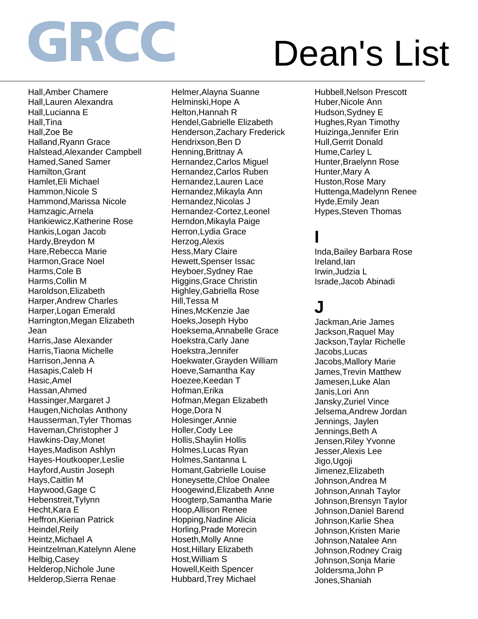## Dean's List

Hall,Amber Chamere Hall,Lauren Alexandra Hall,Lucianna E Hall,Tina Hall,Zoe Be Halland,Ryann Grace Halstead,Alexander Campbell Hamed,Saned Samer Hamilton,Grant Hamlet,Eli Michael Hammon,Nicole S Hammond,Marissa Nicole Hamzagic,Arnela Hankiewicz,Katherine Rose Hankis,Logan Jacob Hardy,Breydon M Hare,Rebecca Marie Harmon,Grace Noel Harms,Cole B Harms,Collin M Haroldson,Elizabeth Harper,Andrew Charles Harper,Logan Emerald Harrington,Megan Elizabeth Jean Harris,Jase Alexander Harris,Tiaona Michelle Harrison,Jenna A Hasapis,Caleb H Hasic,Amel Hassan,Ahmed Hassinger,Margaret J Haugen,Nicholas Anthony Hausserman,Tyler Thomas Haveman,Christopher J Hawkins-Day,Monet Hayes,Madison Ashlyn Hayes-Houtkooper,Leslie Hayford,Austin Joseph Hays,Caitlin M Haywood,Gage C Hebenstreit,Tylynn Hecht, Kara E Heffron,Kierian Patrick Heindel,Reily Heintz,Michael A Heintzelman,Katelynn Alene Helbig,Casey Helderop,Nichole June Helderop,Sierra Renae

Helmer,Alayna Suanne Helminski,Hope A Helton,Hannah R Hendel,Gabrielle Elizabeth Henderson,Zachary Frederick Hendrixson,Ben D Henning,Brittnay A Hernandez,Carlos Miguel Hernandez,Carlos Ruben Hernandez,Lauren Lace Hernandez,Mikayla Ann Hernandez,Nicolas J Hernandez-Cortez,Leonel Herndon,Mikayla Paige Herron,Lydia Grace Herzog,Alexis Hess,Mary Claire Hewett,Spenser Issac Heyboer,Sydney Rae Higgins,Grace Christin Highley,Gabriella Rose Hill,Tessa M Hines,McKenzie Jae Hoeks,Joseph Hybo Hoeksema,Annabelle Grace Hoekstra,Carly Jane Hoekstra,Jennifer Hoekwater,Grayden William Hoeve,Samantha Kay Hoezee,Keedan T Hofman,Erika Hofman,Megan Elizabeth Hoge,Dora N Holesinger,Annie Holler,Cody Lee Hollis,Shaylin Hollis Holmes,Lucas Ryan Holmes,Santanna L Homant,Gabrielle Louise Honeysette,Chloe Onalee Hoogewind,Elizabeth Anne Hoogterp,Samantha Marie Hoop,Allison Renee Hopping,Nadine Alicia Horling,Prade Morecin Hoseth,Molly Anne Host,Hillary Elizabeth Host,William S Howell,Keith Spencer Hubbard,Trey Michael

Hubbell,Nelson Prescott Huber,Nicole Ann Hudson,Sydney E Hughes,Ryan Timothy Huizinga,Jennifer Erin Hull,Gerrit Donald Hume,Carley L Hunter,Braelynn Rose Hunter,Mary A Huston,Rose Mary Huttenga,Madelynn Renee Hyde,Emily Jean Hypes,Steven Thomas

#### **I**

Inda,Bailey Barbara Rose Ireland,Ian Irwin,Judzia L Israde,Jacob Abinadi

#### **J**

Jackman,Arie James Jackson,Raquel May Jackson,Taylar Richelle Jacobs,Lucas Jacobs,Mallory Marie James,Trevin Matthew Jamesen,Luke Alan Janis,Lori Ann Jansky,Zuriel Vince Jelsema,Andrew Jordan Jennings, Jaylen Jennings, Beth A Jensen,Riley Yvonne Jesser,Alexis Lee Jigo,Ugoji Jimenez,Elizabeth Johnson,Andrea M Johnson,Annah Taylor Johnson,Brensyn Taylor Johnson,Daniel Barend Johnson,Karlie Shea Johnson,Kristen Marie Johnson,Natalee Ann Johnson,Rodney Craig Johnson,Sonja Marie Joldersma,John P Jones,Shaniah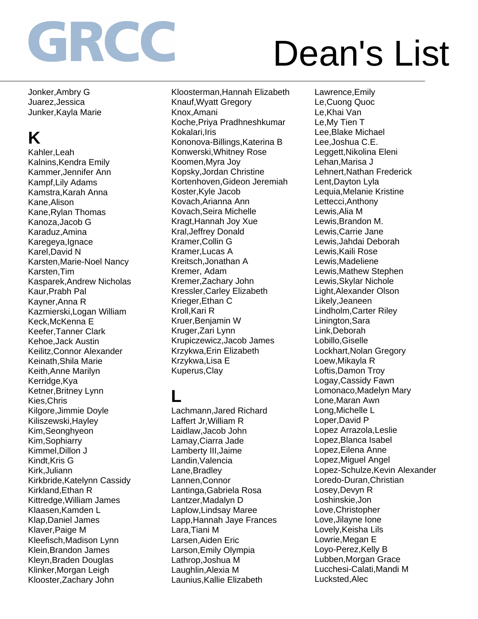## Dean's List

Jonker,Ambry G Juarez,Jessica Junker,Kayla Marie

### **K**

Kahler,Leah Kalnins,Kendra Emily Kammer,Jennifer Ann Kampf,Lily Adams Kamstra,Karah Anna Kane,Alison Kane,Rylan Thomas Kanoza,Jacob G Karaduz,Amina Karegeya,Ignace Karel,David N Karsten,Marie-Noel Nancy Karsten,Tim Kasparek,Andrew Nicholas Kaur,Prabh Pal Kayner,Anna R Kazmierski,Logan William Keck,McKenna E Keefer,Tanner Clark Kehoe,Jack Austin Keilitz,Connor Alexander Keinath,Shila Marie Keith,Anne Marilyn Kerridge,Kya Ketner,Britney Lynn Kies,Chris Kilgore,Jimmie Doyle Kiliszewski,Hayley Kim,Seonghyeon Kim,Sophiarry Kimmel,Dillon J Kindt, Kris G Kirk,Juliann Kirkbride,Katelynn Cassidy Kirkland,Ethan R Kittredge,William James Klaasen,Kamden L Klap,Daniel James Klaver,Paige M Kleefisch,Madison Lynn Klein,Brandon James Kleyn,Braden Douglas Klinker,Morgan Leigh Klooster,Zachary John

Kloosterman,Hannah Elizabeth Knauf,Wyatt Gregory Knox,Amani Koche,Priya Pradhneshkumar Kokalari,Iris Kononova-Billings,Katerina B Konwerski,Whitney Rose Koomen,Myra Joy Kopsky,Jordan Christine Kortenhoven,Gideon Jeremiah Koster,Kyle Jacob Kovach,Arianna Ann Kovach,Seira Michelle Kragt,Hannah Joy Xue Kral,Jeffrey Donald Kramer,Collin G Kramer,Lucas A Kreitsch,Jonathan A Kremer, Adam Kremer,Zachary John Kressler,Carley Elizabeth Krieger,Ethan C Kroll,Kari R Kruer,Benjamin W Kruger,Zari Lynn Krupiczewicz,Jacob James Krzykwa,Erin Elizabeth Krzykwa,Lisa E Kuperus,Clay

#### **L**

Lachmann,Jared Richard Laffert Jr,William R Laidlaw,Jacob John Lamay,Ciarra Jade Lamberty III,Jaime Landin,Valencia Lane,Bradley Lannen,Connor Lantinga,Gabriela Rosa Lantzer,Madalyn D Laplow,Lindsay Maree Lapp,Hannah Jaye Frances Lara,Tiani M Larsen,Aiden Eric Larson,Emily Olympia Lathrop,Joshua M Laughlin,Alexia M Launius,Kallie Elizabeth

Lawrence,Emily Le,Cuong Quoc Le,Khai Van Le,My Tien T Lee,Blake Michael Lee,Joshua C.E. Leggett,Nikolina Eleni Lehan,Marisa J Lehnert,Nathan Frederick Lent,Dayton Lyla Lequia,Melanie Kristine Lettecci,Anthony Lewis,Alia M Lewis,Brandon M. Lewis,Carrie Jane Lewis,Jahdai Deborah Lewis,Kaili Rose Lewis,Madeliene Lewis,Mathew Stephen Lewis,Skylar Nichole Light,Alexander Olson Likely,Jeaneen Lindholm,Carter Riley Linington,Sara Link,Deborah Lobillo,Giselle Lockhart,Nolan Gregory Loew,Mikayla R Loftis,Damon Troy Logay,Cassidy Fawn Lomonaco,Madelyn Mary Lone,Maran Awn Long,Michelle L Loper,David P Lopez Arrazola,Leslie Lopez,Blanca Isabel Lopez,Eilena Anne Lopez,Miguel Angel Lopez-Schulze,Kevin Alexander Loredo-Duran,Christian Losey,Devyn R Loshinskie,Jon Love,Christopher Love,Jilayne Ione Lovely,Keisha Lils Lowrie,Megan E Loyo-Perez,Kelly B Lubben,Morgan Grace Lucchesi-Calati,Mandi M Lucksted,Alec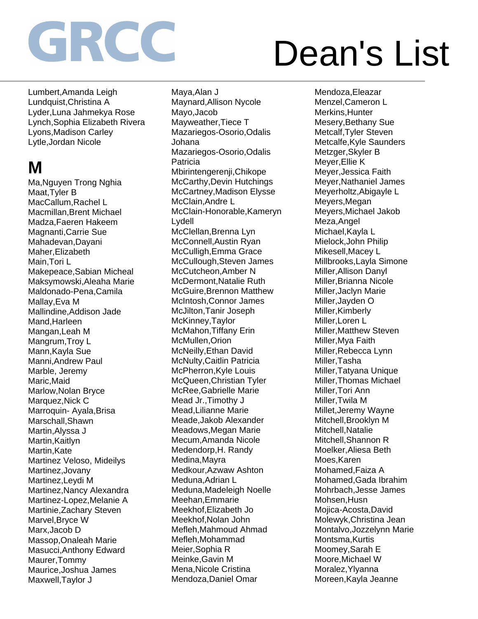## Dean's List

Lumbert,Amanda Leigh Lundquist,Christina A Lyder,Luna Jahmekya Rose Lynch,Sophia Elizabeth Rivera Lyons,Madison Carley Lytle,Jordan Nicole

### **M**

Ma,Nguyen Trong Nghia Maat,Tyler B MacCallum,Rachel L Macmillan,Brent Michael Madza,Faeren Hakeem Magnanti,Carrie Sue Mahadevan,Dayani Maher,Elizabeth Main,Tori L Makepeace,Sabian Micheal Maksymowski,Aleaha Marie Maldonado-Pena,Camila Mallay,Eva M Mallindine,Addison Jade Mand.Harleen Mangan,Leah M Mangrum,Troy L Mann,Kayla Sue Manni,Andrew Paul Marble, Jeremy Maric,Maid Marlow,Nolan Bryce Marquez, Nick C Marroquin- Ayala,Brisa Marschall,Shawn Martin,Alyssa J Martin,Kaitlyn Martin,Kate Martinez Veloso, Mideilys Martinez,Jovany Martinez,Leydi M Martinez,Nancy Alexandra Martinez-Lopez,Melanie A Martinie,Zachary Steven Marvel,Bryce W Marx,Jacob D Massop,Onaleah Marie Masucci,Anthony Edward Maurer,Tommy Maurice,Joshua James Maxwell,Taylor J

Maya,Alan J Maynard,Allison Nycole Mayo,Jacob Mayweather,Tiece T Mazariegos-Osorio,Odalis Johana Mazariegos-Osorio,Odalis Patricia Mbirintengerenji,Chikope McCarthy,Devin Hutchings McCartney,Madison Elysse McClain,Andre L McClain-Honorable,Kameryn Lydell McClellan,Brenna Lyn McConnell,Austin Ryan McCulligh,Emma Grace McCullough,Steven James McCutcheon,Amber N McDermont,Natalie Ruth McGuire,Brennon Matthew McIntosh,Connor James McJilton,Tanir Joseph McKinney,Taylor McMahon,Tiffany Erin McMullen,Orion McNeilly,Ethan David McNulty,Caitlin Patricia McPherron,Kyle Louis McQueen,Christian Tyler McRee,Gabrielle Marie Mead Jr.,Timothy J Mead,Lilianne Marie Meade,Jakob Alexander Meadows,Megan Marie Mecum,Amanda Nicole Medendorp,H. Randy Medina,Mayra Medkour,Azwaw Ashton Meduna,Adrian L Meduna,Madeleigh Noelle Meehan,Emmarie Meekhof,Elizabeth Jo Meekhof,Nolan John Mefleh,Mahmoud Ahmad Mefleh,Mohammad Meier,Sophia R Meinke,Gavin M Mena,Nicole Cristina Mendoza,Daniel Omar

Mendoza,Eleazar Menzel,Cameron L Merkins,Hunter Mesery,Bethany Sue Metcalf,Tyler Steven Metcalfe,Kyle Saunders Metzger,Skyler B Meyer,Ellie K Meyer,Jessica Faith Meyer,Nathaniel James Meyerholtz,Abigayle L Meyers,Megan Meyers,Michael Jakob Meza,Angel Michael,Kayla L Mielock,John Philip Mikesell,Macey L Millbrooks,Layla Simone Miller,Allison Danyl Miller,Brianna Nicole Miller,Jaclyn Marie Miller,Jayden O Miller,Kimberly Miller,Loren L Miller,Matthew Steven Miller,Mya Faith Miller,Rebecca Lynn Miller,Tasha Miller,Tatyana Unique Miller,Thomas Michael Miller,Tori Ann Miller,Twila M Millet,Jeremy Wayne Mitchell,Brooklyn M Mitchell,Natalie Mitchell,Shannon R Moelker,Aliesa Beth Moes,Karen Mohamed,Faiza A Mohamed,Gada Ibrahim Mohrbach,Jesse James Mohsen,Husn Mojica-Acosta,David Molewyk,Christina Jean Montalvo,Jozzelynn Marie Montsma,Kurtis Moomey,Sarah E Moore,Michael W Moralez,Ylyanna Moreen,Kayla Jeanne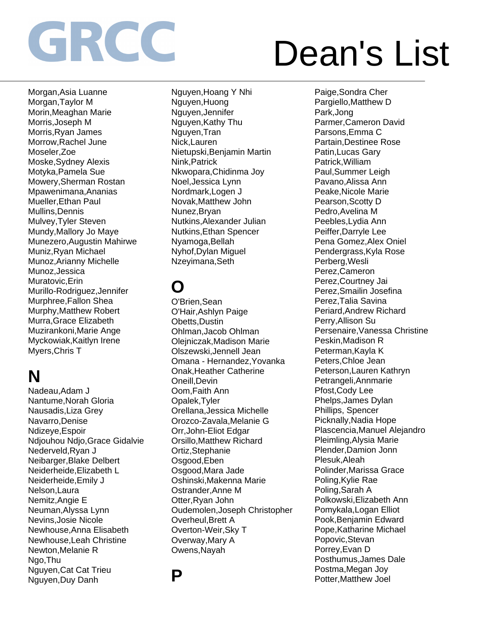## Dean's List

Morgan,Asia Luanne Morgan,Taylor M Morin,Meaghan Marie Morris,Joseph M Morris,Ryan James Morrow, Rachel June Moseler,Zoe Moske,Sydney Alexis Motyka,Pamela Sue Mowery,Sherman Rostan Mpawenimana,Ananias Mueller,Ethan Paul Mullins,Dennis Mulvey,Tyler Steven Mundy,Mallory Jo Maye Munezero,Augustin Mahirwe Muniz,Ryan Michael Munoz,Arianny Michelle Munoz,Jessica Muratovic,Erin Murillo-Rodriguez,Jennifer Murphree,Fallon Shea Murphy,Matthew Robert Murra,Grace Elizabeth Muzirankoni,Marie Ange Myckowiak,Kaitlyn Irene Myers,Chris T

### **N**

Nadeau,Adam J Nantume,Norah Gloria Nausadis,Liza Grey Navarro,Denise Ndizeye,Espoir Ndjouhou Ndjo,Grace Gidalvie Nederveld,Ryan J Neibarger,Blake Delbert Neiderheide,Elizabeth L Neiderheide,Emily J Nelson,Laura Nemitz,Angie E Neuman,Alyssa Lynn Nevins,Josie Nicole Newhouse,Anna Elisabeth Newhouse,Leah Christine Newton,Melanie R Ngo,Thu Nguyen,Cat Cat Trieu Nguyen,Duy Danh

Nguyen,Hoang Y Nhi Nguyen,Huong Nguyen,Jennifer Nguyen,Kathy Thu Nguyen,Tran Nick,Lauren Nietupski,Benjamin Martin Nink,Patrick Nkwopara,Chidinma Joy Noel,Jessica Lynn Nordmark,Logen J Novak,Matthew John Nunez,Bryan Nutkins,Alexander Julian Nutkins,Ethan Spencer Nyamoga,Bellah Nyhof,Dylan Miguel Nzeyimana,Seth

### **O**

O'Brien,Sean O'Hair,Ashlyn Paige Obetts,Dustin Ohlman,Jacob Ohlman Olejniczak,Madison Marie Olszewski,Jennell Jean Omana - Hernandez,Yovanka Onak,Heather Catherine Oneill,Devin Oom,Faith Ann Opalek,Tyler Orellana,Jessica Michelle Orozco-Zavala,Melanie G Orr,John-Eliot Edgar Orsillo,Matthew Richard Ortiz,Stephanie Osgood,Eben Osgood,Mara Jade Oshinski,Makenna Marie Ostrander,Anne M Otter,Ryan John Oudemolen,Joseph Christopher Overheul,Brett A Overton-Weir,Sky T Overway,Mary A Owens,Nayah

**P**

Paige,Sondra Cher Pargiello,Matthew D Park,Jong Parmer,Cameron David Parsons,Emma C Partain,Destinee Rose Patin,Lucas Gary Patrick,William Paul,Summer Leigh Pavano,Alissa Ann Peake,Nicole Marie Pearson,Scotty D Pedro,Avelina M Peebles,Lydia Ann Peiffer,Darryle Lee Pena Gomez,Alex Oniel Pendergrass,Kyla Rose Perberg,Wesli Perez,Cameron Perez,Courtney Jai Perez,Smailin Josefina Perez,Talia Savina Periard,Andrew Richard Perry,Allison Su Persenaire,Vanessa Christine Peskin,Madison R Peterman,Kayla K Peters,Chloe Jean Peterson,Lauren Kathryn Petrangeli,Annmarie Pfost,Cody Lee Phelps,James Dylan Phillips, Spencer Picknally,Nadia Hope Plascencia,Manuel Alejandro Pleimling,Alysia Marie Plender,Damion Jonn Plesuk,Aleah Polinder,Marissa Grace Poling,Kylie Rae Poling,Sarah A Polkowski,Elizabeth Ann Pomykala,Logan Elliot Pook,Benjamin Edward Pope,Katharine Michael Popovic,Stevan Porrey,Evan D Posthumus,James Dale Postma,Megan Joy Potter,Matthew Joel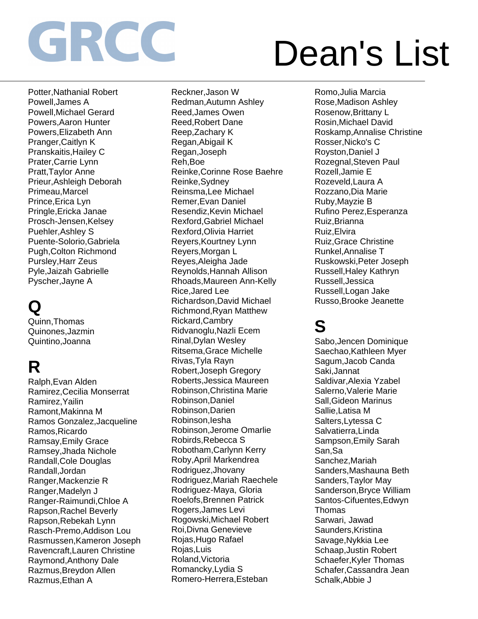## Dean's List

Potter,Nathanial Robert Powell,James A Powell,Michael Gerard Powers,Aaron Hunter Powers,Elizabeth Ann Pranger,Caitlyn K Pranskaitis,Hailey C Prater,Carrie Lynn Pratt,Taylor Anne Prieur,Ashleigh Deborah Primeau,Marcel Prince,Erica Lyn Pringle,Ericka Janae Prosch-Jensen,Kelsey Puehler,Ashley S Puente-Solorio,Gabriela Pugh,Colton Richmond Pursley,Harr Zeus Pyle,Jaizah Gabrielle Pyscher,Jayne A

### **Q**

Quinn,Thomas Quinones,Jazmin Quintino,Joanna

### **R**

Ralph,Evan Alden Ramirez,Cecilia Monserrat Ramirez,Yailin Ramont,Makinna M Ramos Gonzalez,Jacqueline Ramos,Ricardo Ramsay,Emily Grace Ramsey,Jhada Nichole Randall,Cole Douglas Randall,Jordan Ranger,Mackenzie R Ranger,Madelyn J Ranger-Raimundi,Chloe A Rapson,Rachel Beverly Rapson,Rebekah Lynn Rasch-Premo,Addison Lou Rasmussen,Kameron Joseph Ravencraft,Lauren Christine Raymond,Anthony Dale Razmus,Breydon Allen Razmus,Ethan A

Reckner,Jason W Redman,Autumn Ashley Reed,James Owen Reed,Robert Dane Reep,Zachary K Regan,Abigail K Regan,Joseph Reh,Boe Reinke,Corinne Rose Baehre Reinke,Sydney Reinsma,Lee Michael Remer,Evan Daniel Resendiz,Kevin Michael Rexford,Gabriel Michael Rexford,Olivia Harriet Reyers,Kourtney Lynn Reyers,Morgan L Reyes,Aleigha Jade Reynolds,Hannah Allison Rhoads,Maureen Ann-Kelly Rice,Jared Lee Richardson,David Michael Richmond,Ryan Matthew Rickard,Cambry Ridvanoglu,Nazli Ecem Rinal,Dylan Wesley Ritsema,Grace Michelle Rivas,Tyla Rayn Robert,Joseph Gregory Roberts,Jessica Maureen Robinson,Christina Marie Robinson,Daniel Robinson,Darien Robinson,Iesha Robinson,Jerome Omarlie Robirds,Rebecca S Robotham,Carlynn Kerry Roby,April Markendrea Rodriguez,Jhovany Rodriguez,Mariah Raechele Rodriguez-Maya, Gloria Roelofs,Brennen Patrick Rogers,James Levi Rogowski,Michael Robert Roi,Divna Genevieve Rojas,Hugo Rafael Rojas,Luis Roland,Victoria Romancky,Lydia S Romero-Herrera,Esteban

Romo,Julia Marcia Rose,Madison Ashley Rosenow,Brittany L Rosin,Michael David Roskamp,Annalise Christine Rosser,Nicko's C Royston,Daniel J Rozegnal,Steven Paul Rozell,Jamie E Rozeveld,Laura A Rozzano,Dia Marie Ruby,Mayzie B Rufino Perez,Esperanza Ruiz,Brianna Ruiz,Elvira Ruiz,Grace Christine Runkel,Annalise T Ruskowski,Peter Joseph Russell,Haley Kathryn Russell,Jessica Russell,Logan Jake Russo,Brooke Jeanette

### **S**

Sabo,Jencen Dominique Saechao,Kathleen Myer Sagum,Jacob Canda Saki,Jannat Saldivar,Alexia Yzabel Salerno,Valerie Marie Sall,Gideon Marinus Sallie,Latisa M Salters,Lytessa C Salvatierra,Linda Sampson,Emily Sarah San,Sa Sanchez,Mariah Sanders,Mashauna Beth Sanders,Taylor May Sanderson,Bryce William Santos-Cifuentes,Edwyn Thomas Sarwari, Jawad Saunders,Kristina Savage,Nykkia Lee Schaap,Justin Robert Schaefer,Kyler Thomas Schafer,Cassandra Jean Schalk,Abbie J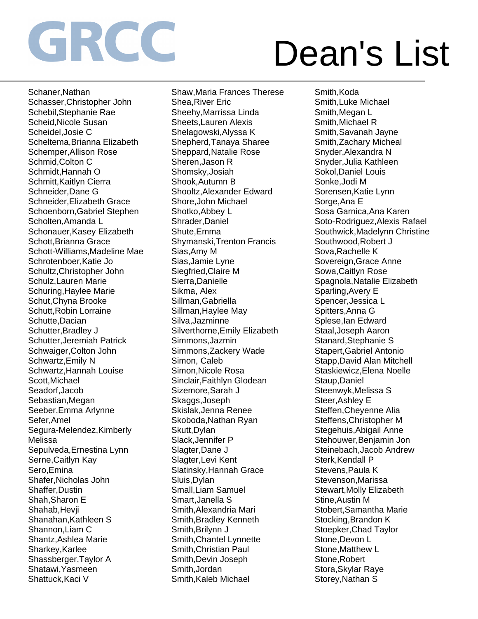## Dean's List

Schaner,Nathan Schasser,Christopher John Schebil,Stephanie Rae Scheid,Nicole Susan Scheidel,Josie C Scheltema,Brianna Elizabeth Schemper,Allison Rose Schmid,Colton C Schmidt,Hannah O Schmitt,Kaitlyn Cierra Schneider,Dane G Schneider,Elizabeth Grace Schoenborn,Gabriel Stephen Scholten,Amanda L Schonauer,Kasey Elizabeth Schott,Brianna Grace Schott-Williams,Madeline Mae Schrotenboer,Katie Jo Schultz,Christopher John Schulz,Lauren Marie Schuring,Haylee Marie Schut,Chyna Brooke Schutt,Robin Lorraine Schutte,Dacian Schutter,Bradley J Schutter,Jeremiah Patrick Schwaiger,Colton John Schwartz,Emily N Schwartz,Hannah Louise Scott,Michael Seadorf,Jacob Sebastian,Megan Seeber,Emma Arlynne Sefer,Amel Segura-Melendez,Kimberly Melissa Sepulveda,Ernestina Lynn Serne,Caitlyn Kay Sero,Emina Shafer,Nicholas John Shaffer,Dustin Shah,Sharon E Shahab,Hevji Shanahan,Kathleen S Shannon,Liam C Shantz,Ashlea Marie Sharkey,Karlee Shassberger,Taylor A Shatawi,Yasmeen Shattuck,Kaci V

Shaw,Maria Frances Therese Shea,River Eric Sheehy,Marrissa Linda Sheets,Lauren Alexis Shelagowski,Alyssa K Shepherd,Tanaya Sharee Sheppard,Natalie Rose Sheren,Jason R Shomsky,Josiah Shook,Autumn B Shooltz,Alexander Edward Shore,John Michael Shotko,Abbey L Shrader,Daniel Shute,Emma Shymanski,Trenton Francis Sias,Amy M Sias,Jamie Lyne Siegfried,Claire M Sierra,Danielle Sikma, Alex Sillman,Gabriella Sillman,Haylee May Silva,Jazminne Silverthorne,Emily Elizabeth Simmons,Jazmin Simmons,Zackery Wade Simon, Caleb Simon,Nicole Rosa Sinclair,Faithlyn Glodean Sizemore,Sarah J Skaggs,Joseph Skislak,Jenna Renee Skoboda,Nathan Ryan Skutt,Dylan Slack,Jennifer P Slagter,Dane J Slagter,Levi Kent Slatinsky,Hannah Grace Sluis,Dylan Small,Liam Samuel Smart,Janella S Smith,Alexandria Mari Smith,Bradley Kenneth Smith,Brilynn J Smith,Chantel Lynnette Smith,Christian Paul Smith,Devin Joseph Smith,Jordan Smith, Kaleb Michael

Smith,Koda Smith,Luke Michael Smith,Megan L Smith,Michael R Smith,Savanah Jayne Smith,Zachary Micheal Snyder,Alexandra N Snyder,Julia Kathleen Sokol,Daniel Louis Sonke,Jodi M Sorensen,Katie Lynn Sorge,Ana E Sosa Garnica,Ana Karen Soto-Rodriguez,Alexis Rafael Southwick,Madelynn Christine Southwood,Robert J Sova,Rachelle K Sovereign,Grace Anne Sowa,Caitlyn Rose Spagnola,Natalie Elizabeth Sparling,Avery E Spencer,Jessica L Spitters,Anna G Splese,Ian Edward Staal,Joseph Aaron Stanard,Stephanie S Stapert,Gabriel Antonio Stapp,David Alan Mitchell Staskiewicz,Elena Noelle Staup,Daniel Steenwyk,Melissa S Steer,Ashley E Steffen,Cheyenne Alia Steffens,Christopher M Stegehuis,Abigail Anne Stehouwer,Benjamin Jon Steinebach,Jacob Andrew Sterk, Kendall P Stevens,Paula K Stevenson,Marissa Stewart,Molly Elizabeth Stine,Austin M Stobert,Samantha Marie Stocking,Brandon K Stoepker,Chad Taylor Stone,Devon L Stone,Matthew L Stone,Robert Stora,Skylar Raye Storey,Nathan S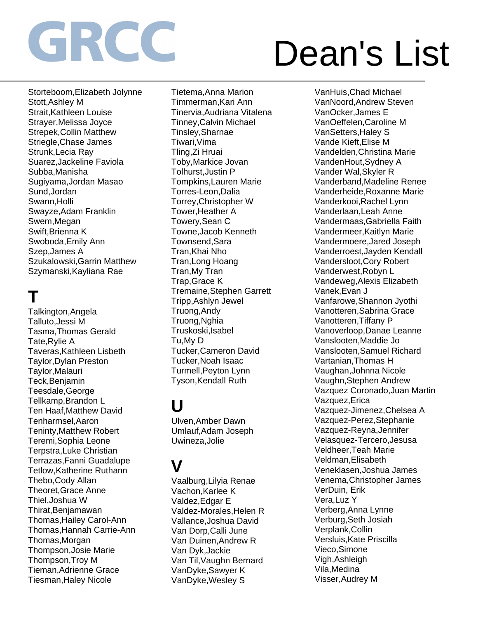## Dean's List

Storteboom,Elizabeth Jolynne Stott,Ashley M Strait,Kathleen Louise Strayer,Melissa Joyce Strepek,Collin Matthew Striegle,Chase James Strunk,Lecia Ray Suarez,Jackeline Faviola Subba,Manisha Sugiyama,Jordan Masao Sund,Jordan Swann,Holli Swayze,Adam Franklin Swem,Megan Swift,Brienna K Swoboda,Emily Ann Szep,James A Szukalowski,Garrin Matthew Szymanski,Kayliana Rae

### **T**

Talkington,Angela Talluto,Jessi M Tasma,Thomas Gerald Tate,Rylie A Taveras,Kathleen Lisbeth Taylor,Dylan Preston Taylor,Malauri Teck,Benjamin Teesdale,George Tellkamp,Brandon L Ten Haaf,Matthew David Tenharmsel,Aaron Teninty,Matthew Robert Teremi,Sophia Leone Terpstra,Luke Christian Terrazas,Fanni Guadalupe Tetlow,Katherine Ruthann Thebo,Cody Allan Theoret,Grace Anne Thiel,Joshua W Thirat,Benjamawan Thomas,Hailey Carol-Ann Thomas,Hannah Carrie-Ann Thomas,Morgan Thompson,Josie Marie Thompson,Troy M Tieman,Adrienne Grace Tiesman,Haley Nicole

Tietema,Anna Marion Timmerman,Kari Ann Tinervia,Audriana Vitalena Tinney,Calvin Michael Tinsley,Sharnae Tiwari,Vima Tling,Zi Hruai Toby,Markice Jovan Tolhurst,Justin P Tompkins,Lauren Marie Torres-Leon,Dalia Torrey,Christopher W Tower,Heather A Towery,Sean C Towne,Jacob Kenneth Townsend,Sara Tran,Khai Nho Tran,Long Hoang Tran,My Tran Trap,Grace K Tremaine,Stephen Garrett Tripp,Ashlyn Jewel Truong,Andy Truong,Nghia Truskoski,Isabel Tu,My D Tucker,Cameron David Tucker,Noah Isaac Turmell,Peyton Lynn Tyson,Kendall Ruth

### **U**

Ulven,Amber Dawn Umlauf,Adam Joseph Uwineza,Jolie

#### **V**

Vaalburg,Lilyia Renae Vachon,Karlee K Valdez,Edgar E Valdez-Morales,Helen R Vallance,Joshua David Van Dorp,Calli June Van Duinen,Andrew R Van Dyk,Jackie Van Til,Vaughn Bernard VanDyke,Sawyer K VanDyke,Wesley S

VanHuis,Chad Michael VanNoord,Andrew Steven VanOcker,James E VanOeffelen,Caroline M VanSetters,Haley S Vande Kieft,Elise M Vandelden,Christina Marie VandenHout,Sydney A Vander Wal,Skyler R Vanderband,Madeline Renee Vanderheide,Roxanne Marie Vanderkooi,Rachel Lynn Vanderlaan,Leah Anne Vandermaas,Gabriella Faith Vandermeer,Kaitlyn Marie Vandermoere,Jared Joseph Vanderroest,Jayden Kendall Vandersloot,Cory Robert Vanderwest,Robyn L Vandeweg,Alexis Elizabeth Vanek,Evan J Vanfarowe,Shannon Jyothi Vanotteren,Sabrina Grace Vanotteren,Tiffany P Vanoverloop,Danae Leanne Vanslooten,Maddie Jo Vanslooten,Samuel Richard Vartanian,Thomas H Vaughan,Johnna Nicole Vaughn,Stephen Andrew Vazquez Coronado,Juan Martin Vazquez,Erica Vazquez-Jimenez,Chelsea A Vazquez-Perez,Stephanie Vazquez-Reyna,Jennifer Velasquez-Tercero,Jesusa Veldheer,Teah Marie Veldman,Elisabeth Veneklasen,Joshua James Venema,Christopher James VerDuin, Erik Vera,Luz Y Verberg,Anna Lynne Verburg,Seth Josiah Verplank,Collin Versluis,Kate Priscilla Vieco,Simone Vigh,Ashleigh Vila,Medina Visser,Audrey M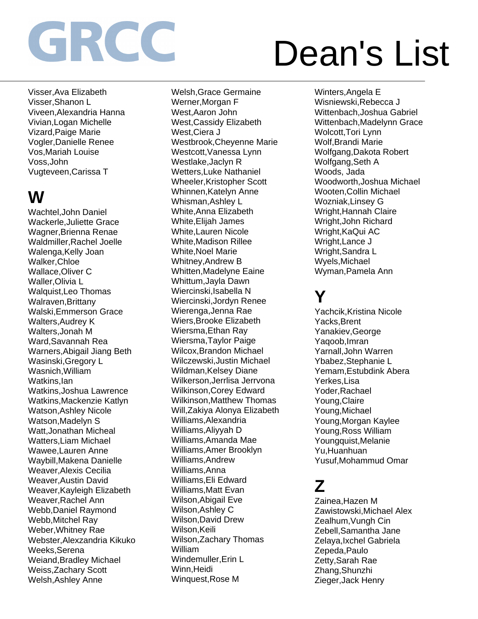## Dean's List

Visser,Ava Elizabeth Visser,Shanon L Viveen,Alexandria Hanna Vivian,Logan Michelle Vizard,Paige Marie Vogler,Danielle Renee Vos,Mariah Louise Voss,John Vugteveen,Carissa T

### **W**

Wachtel,John Daniel Wackerle,Juliette Grace Wagner,Brienna Renae Waldmiller,Rachel Joelle Walenga,Kelly Joan Walker,Chloe Wallace,Oliver C Waller,Olivia L Walquist,Leo Thomas Walraven,Brittany Walski,Emmerson Grace Walters,Audrey K Walters,Jonah M Ward,Savannah Rea Warners,Abigail Jiang Beth Wasinski,Gregory L Wasnich, William Watkins,Ian Watkins,Joshua Lawrence Watkins,Mackenzie Katlyn Watson,Ashley Nicole Watson,Madelyn S Watt,Jonathan Micheal Watters,Liam Michael Wawee,Lauren Anne Waybill,Makena Danielle Weaver,Alexis Cecilia Weaver,Austin David Weaver,Kayleigh Elizabeth Weaver,Rachel Ann Webb,Daniel Raymond Webb,Mitchel Ray Weber,Whitney Rae Webster,Alexzandria Kikuko Weeks,Serena Weiand,Bradley Michael Weiss,Zachary Scott Welsh,Ashley Anne

Welsh,Grace Germaine Werner,Morgan F West,Aaron John West,Cassidy Elizabeth West,Ciera J Westbrook,Cheyenne Marie Westcott,Vanessa Lynn Westlake,Jaclyn R Wetters,Luke Nathaniel Wheeler,Kristopher Scott Whinnen,Katelyn Anne Whisman,Ashley L White,Anna Elizabeth White,Elijah James White,Lauren Nicole White,Madison Rillee White,Noel Marie Whitney,Andrew B Whitten,Madelyne Eaine Whittum,Jayla Dawn Wiercinski,Isabella N Wiercinski,Jordyn Renee Wierenga,Jenna Rae Wiers,Brooke Elizabeth Wiersma,Ethan Ray Wiersma,Taylor Paige Wilcox,Brandon Michael Wilczewski,Justin Michael Wildman, Kelsey Diane Wilkerson,Jerrlisa Jerrvona Wilkinson,Corey Edward Wilkinson,Matthew Thomas Will,Zakiya Alonya Elizabeth Williams,Alexandria Williams,Aliyyah D Williams,Amanda Mae Williams,Amer Brooklyn Williams,Andrew Williams,Anna Williams,Eli Edward Williams,Matt Evan Wilson,Abigail Eve Wilson,Ashley C Wilson,David Drew Wilson,Keili Wilson,Zachary Thomas William Windemuller,Erin L Winn, Heidi Winquest,Rose M

Winters,Angela E Wisniewski,Rebecca J Wittenbach,Joshua Gabriel Wittenbach,Madelynn Grace Wolcott,Tori Lynn Wolf,Brandi Marie Wolfgang,Dakota Robert Wolfgang,Seth A Woods, Jada Woodworth,Joshua Michael Wooten,Collin Michael Wozniak,Linsey G Wright,Hannah Claire Wright,John Richard Wright,KaQui AC Wright,Lance J Wright,Sandra L Wyels,Michael Wyman,Pamela Ann

#### **Y**

Yachcik,Kristina Nicole Yacks,Brent Yanakiev,George Yaqoob,Imran Yarnall,John Warren Ybabez,Stephanie L Yemam,Estubdink Abera Yerkes,Lisa Yoder,Rachael Young,Claire Young,Michael Young,Morgan Kaylee Young,Ross William Youngquist,Melanie Yu,Huanhuan Yusuf,Mohammud Omar

#### **Z**

Zainea,Hazen M Zawistowski,Michael Alex Zealhum,Vungh Cin Zebell,Samantha Jane Zelaya,Ixchel Gabriela Zepeda,Paulo Zetty,Sarah Rae Zhang,Shunzhi Zieger,Jack Henry